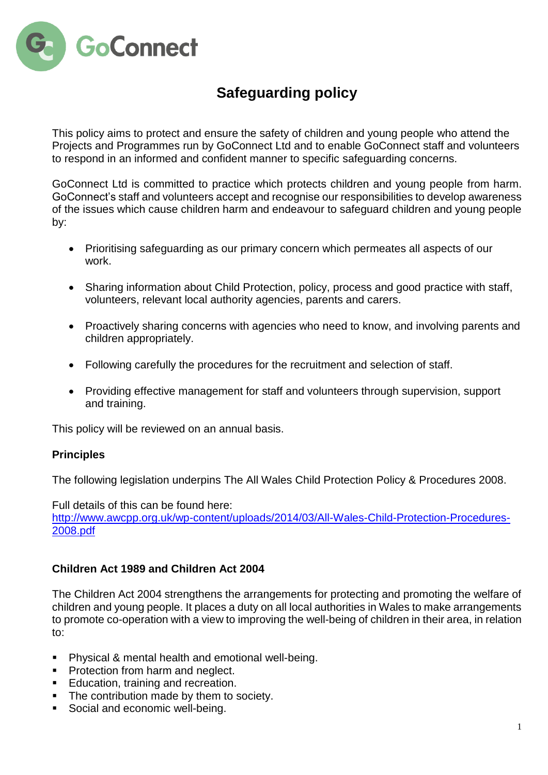

# **Safeguarding policy**

This policy aims to protect and ensure the safety of children and young people who attend the Projects and Programmes run by GoConnect Ltd and to enable GoConnect staff and volunteers to respond in an informed and confident manner to specific safeguarding concerns.

GoConnect Ltd is committed to practice which protects children and young people from harm. GoConnect's staff and volunteers accept and recognise our responsibilities to develop awareness of the issues which cause children harm and endeavour to safeguard children and young people by:

- Prioritising safeguarding as our primary concern which permeates all aspects of our work.
- Sharing information about Child Protection, policy, process and good practice with staff, volunteers, relevant local authority agencies, parents and carers.
- Proactively sharing concerns with agencies who need to know, and involving parents and children appropriately.
- Following carefully the procedures for the recruitment and selection of staff.
- Providing effective management for staff and volunteers through supervision, support and training.

This policy will be reviewed on an annual basis.

# **Principles**

The following legislation underpins The All Wales Child Protection Policy & Procedures 2008.

Full details of this can be found here: [http://www.awcpp.org.uk/wp-content/uploads/2014/03/All-Wales-Child-Protection-Procedures-](http://www.awcpp.org.uk/wp-content/uploads/2014/03/All-Wales-Child-Protection-Procedures-2008.pdf)[2008.pdf](http://www.awcpp.org.uk/wp-content/uploads/2014/03/All-Wales-Child-Protection-Procedures-2008.pdf)

# **Children Act 1989 and Children Act 2004**

The Children Act 2004 strengthens the arrangements for protecting and promoting the welfare of children and young people. It places a duty on all local authorities in Wales to make arrangements to promote co-operation with a view to improving the well-being of children in their area, in relation to:

- Physical & mental health and emotional well-being.
- **Protection from harm and neglect.**
- Education, training and recreation.
- The contribution made by them to society.
- Social and economic well-being.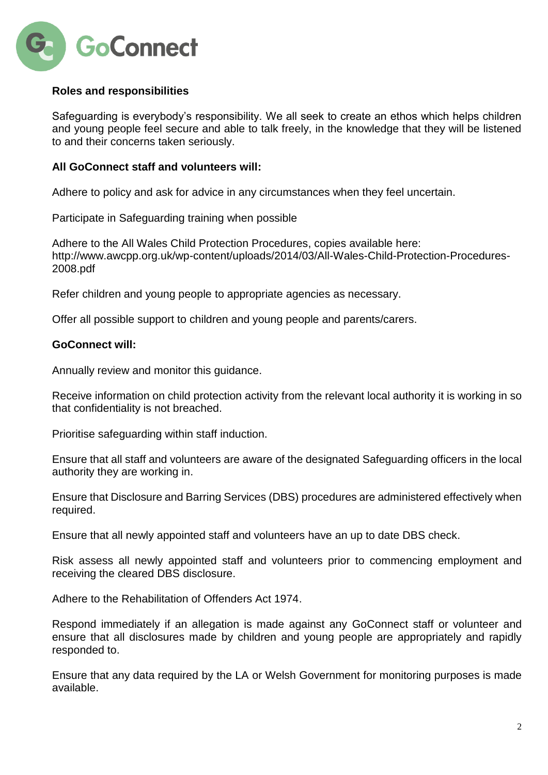

# **Roles and responsibilities**

Safeguarding is everybody's responsibility. We all seek to create an ethos which helps children and young people feel secure and able to talk freely, in the knowledge that they will be listened to and their concerns taken seriously.

### **All GoConnect staff and volunteers will:**

Adhere to policy and ask for advice in any circumstances when they feel uncertain.

Participate in Safeguarding training when possible

Adhere to the All Wales Child Protection Procedures, copies available here: http://www.awcpp.org.uk/wp-content/uploads/2014/03/All-Wales-Child-Protection-Procedures-2008.pdf

Refer children and young people to appropriate agencies as necessary.

Offer all possible support to children and young people and parents/carers.

# **GoConnect will:**

Annually review and monitor this guidance.

Receive information on child protection activity from the relevant local authority it is working in so that confidentiality is not breached.

Prioritise safeguarding within staff induction.

Ensure that all staff and volunteers are aware of the designated Safeguarding officers in the local authority they are working in.

Ensure that Disclosure and Barring Services (DBS) procedures are administered effectively when required.

Ensure that all newly appointed staff and volunteers have an up to date DBS check.

Risk assess all newly appointed staff and volunteers prior to commencing employment and receiving the cleared DBS disclosure.

Adhere to the Rehabilitation of Offenders Act 1974.

Respond immediately if an allegation is made against any GoConnect staff or volunteer and ensure that all disclosures made by children and young people are appropriately and rapidly responded to.

Ensure that any data required by the LA or Welsh Government for monitoring purposes is made available.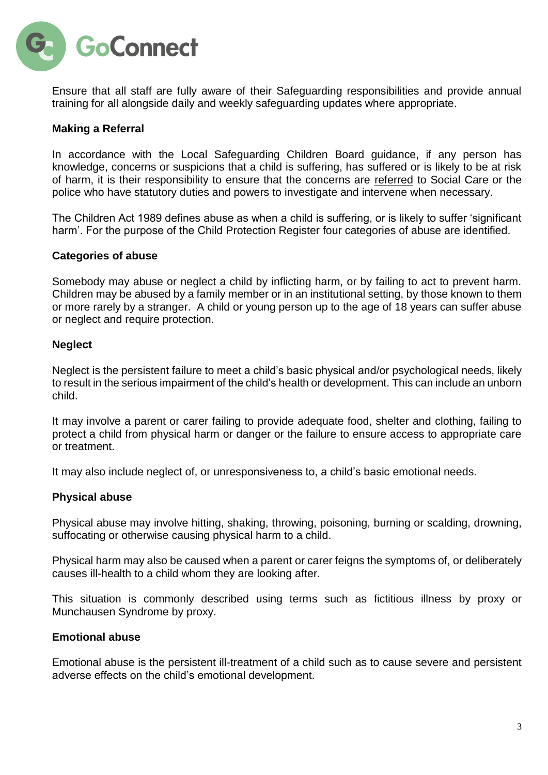

Ensure that all staff are fully aware of their Safeguarding responsibilities and provide annual training for all alongside daily and weekly safeguarding updates where appropriate.

# **Making a Referral**

In accordance with the Local Safeguarding Children Board guidance, if any person has knowledge, concerns or suspicions that a child is suffering, has suffered or is likely to be at risk of harm, it is their responsibility to ensure that the concerns are referred to Social Care or the police who have statutory duties and powers to investigate and intervene when necessary.

The Children Act 1989 defines abuse as when a child is suffering, or is likely to suffer 'significant harm'. For the purpose of the Child Protection Register four categories of abuse are identified.

#### **Categories of abuse**

Somebody may abuse or neglect a child by inflicting harm, or by failing to act to prevent harm. Children may be abused by a family member or in an institutional setting, by those known to them or more rarely by a stranger. A child or young person up to the age of 18 years can suffer abuse or neglect and require protection.

#### **Neglect**

Neglect is the persistent failure to meet a child's basic physical and/or psychological needs, likely to result in the serious impairment of the child's health or development. This can include an unborn child.

It may involve a parent or carer failing to provide adequate food, shelter and clothing, failing to protect a child from physical harm or danger or the failure to ensure access to appropriate care or treatment.

It may also include neglect of, or unresponsiveness to, a child's basic emotional needs.

# **Physical abuse**

Physical abuse may involve hitting, shaking, throwing, poisoning, burning or scalding, drowning, suffocating or otherwise causing physical harm to a child.

Physical harm may also be caused when a parent or carer feigns the symptoms of, or deliberately causes ill-health to a child whom they are looking after.

This situation is commonly described using terms such as fictitious illness by proxy or Munchausen Syndrome by proxy.

#### **Emotional abuse**

Emotional abuse is the persistent ill-treatment of a child such as to cause severe and persistent adverse effects on the child's emotional development.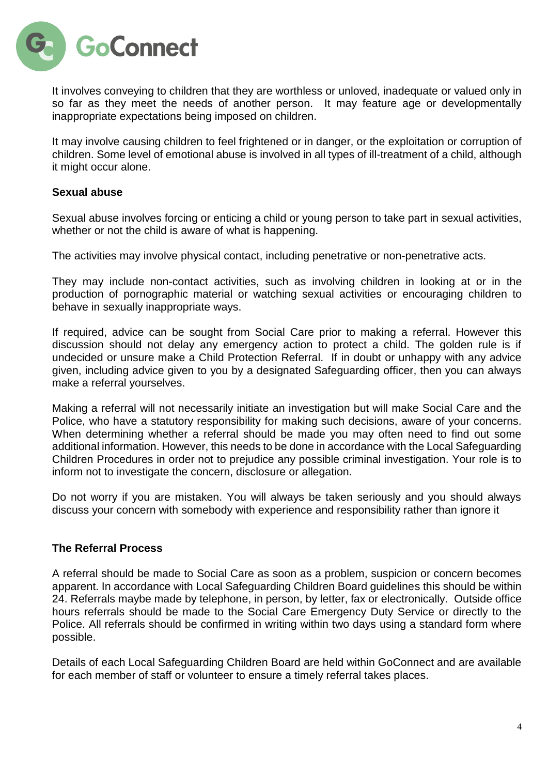**GoConnect** 

It involves conveying to children that they are worthless or unloved, inadequate or valued only in so far as they meet the needs of another person. It may feature age or developmentally inappropriate expectations being imposed on children.

It may involve causing children to feel frightened or in danger, or the exploitation or corruption of children. Some level of emotional abuse is involved in all types of ill-treatment of a child, although it might occur alone.

# **Sexual abuse**

Sexual abuse involves forcing or enticing a child or young person to take part in sexual activities, whether or not the child is aware of what is happening.

The activities may involve physical contact, including penetrative or non-penetrative acts.

They may include non-contact activities, such as involving children in looking at or in the production of pornographic material or watching sexual activities or encouraging children to behave in sexually inappropriate ways.

If required, advice can be sought from Social Care prior to making a referral. However this discussion should not delay any emergency action to protect a child. The golden rule is if undecided or unsure make a Child Protection Referral. If in doubt or unhappy with any advice given, including advice given to you by a designated Safeguarding officer, then you can always make a referral yourselves.

Making a referral will not necessarily initiate an investigation but will make Social Care and the Police, who have a statutory responsibility for making such decisions, aware of your concerns. When determining whether a referral should be made you may often need to find out some additional information. However, this needs to be done in accordance with the Local Safeguarding Children Procedures in order not to prejudice any possible criminal investigation. Your role is to inform not to investigate the concern, disclosure or allegation.

Do not worry if you are mistaken. You will always be taken seriously and you should always discuss your concern with somebody with experience and responsibility rather than ignore it

# **The Referral Process**

A referral should be made to Social Care as soon as a problem, suspicion or concern becomes apparent. In accordance with Local Safeguarding Children Board guidelines this should be within 24. Referrals maybe made by telephone, in person, by letter, fax or electronically. Outside office hours referrals should be made to the Social Care Emergency Duty Service or directly to the Police. All referrals should be confirmed in writing within two days using a standard form where possible.

Details of each Local Safeguarding Children Board are held within GoConnect and are available for each member of staff or volunteer to ensure a timely referral takes places.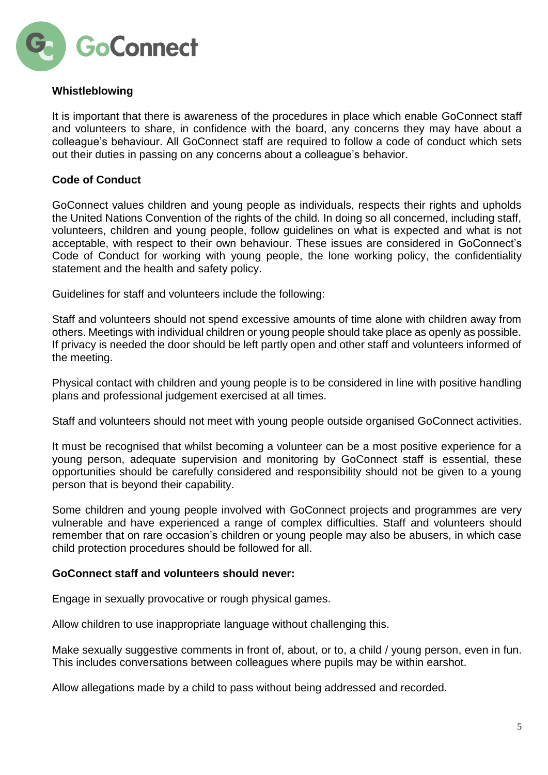

# **Whistleblowing**

It is important that there is awareness of the procedures in place which enable GoConnect staff and volunteers to share, in confidence with the board, any concerns they may have about a colleague's behaviour. All GoConnect staff are required to follow a code of conduct which sets out their duties in passing on any concerns about a colleague's behavior.

# **Code of Conduct**

GoConnect values children and young people as individuals, respects their rights and upholds the United Nations Convention of the rights of the child. In doing so all concerned, including staff, volunteers, children and young people, follow guidelines on what is expected and what is not acceptable, with respect to their own behaviour. These issues are considered in GoConnect's Code of Conduct for working with young people, the lone working policy, the confidentiality statement and the health and safety policy.

Guidelines for staff and volunteers include the following:

Staff and volunteers should not spend excessive amounts of time alone with children away from others. Meetings with individual children or young people should take place as openly as possible. If privacy is needed the door should be left partly open and other staff and volunteers informed of the meeting.

Physical contact with children and young people is to be considered in line with positive handling plans and professional judgement exercised at all times.

Staff and volunteers should not meet with young people outside organised GoConnect activities.

It must be recognised that whilst becoming a volunteer can be a most positive experience for a young person, adequate supervision and monitoring by GoConnect staff is essential, these opportunities should be carefully considered and responsibility should not be given to a young person that is beyond their capability.

Some children and young people involved with GoConnect projects and programmes are very vulnerable and have experienced a range of complex difficulties. Staff and volunteers should remember that on rare occasion's children or young people may also be abusers, in which case child protection procedures should be followed for all.

# **GoConnect staff and volunteers should never:**

Engage in sexually provocative or rough physical games.

Allow children to use inappropriate language without challenging this.

Make sexually suggestive comments in front of, about, or to, a child / young person, even in fun. This includes conversations between colleagues where pupils may be within earshot.

Allow allegations made by a child to pass without being addressed and recorded.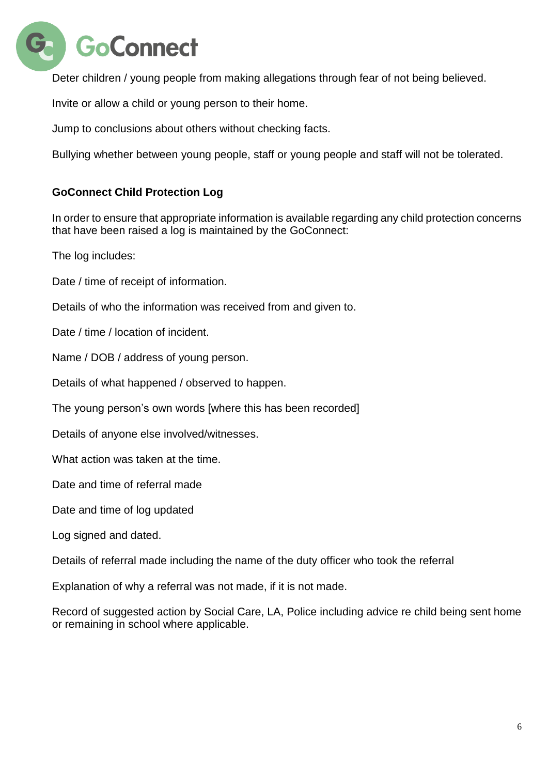

Deter children / young people from making allegations through fear of not being believed.

Invite or allow a child or young person to their home.

Jump to conclusions about others without checking facts.

Bullying whether between young people, staff or young people and staff will not be tolerated.

# **GoConnect Child Protection Log**

In order to ensure that appropriate information is available regarding any child protection concerns that have been raised a log is maintained by the GoConnect:

The log includes:

Date / time of receipt of information.

Details of who the information was received from and given to.

Date / time / location of incident.

Name / DOB / address of young person.

Details of what happened / observed to happen.

The young person's own words [where this has been recorded]

Details of anyone else involved/witnesses.

What action was taken at the time.

Date and time of referral made

Date and time of log updated

Log signed and dated.

Details of referral made including the name of the duty officer who took the referral

Explanation of why a referral was not made, if it is not made.

Record of suggested action by Social Care, LA, Police including advice re child being sent home or remaining in school where applicable.